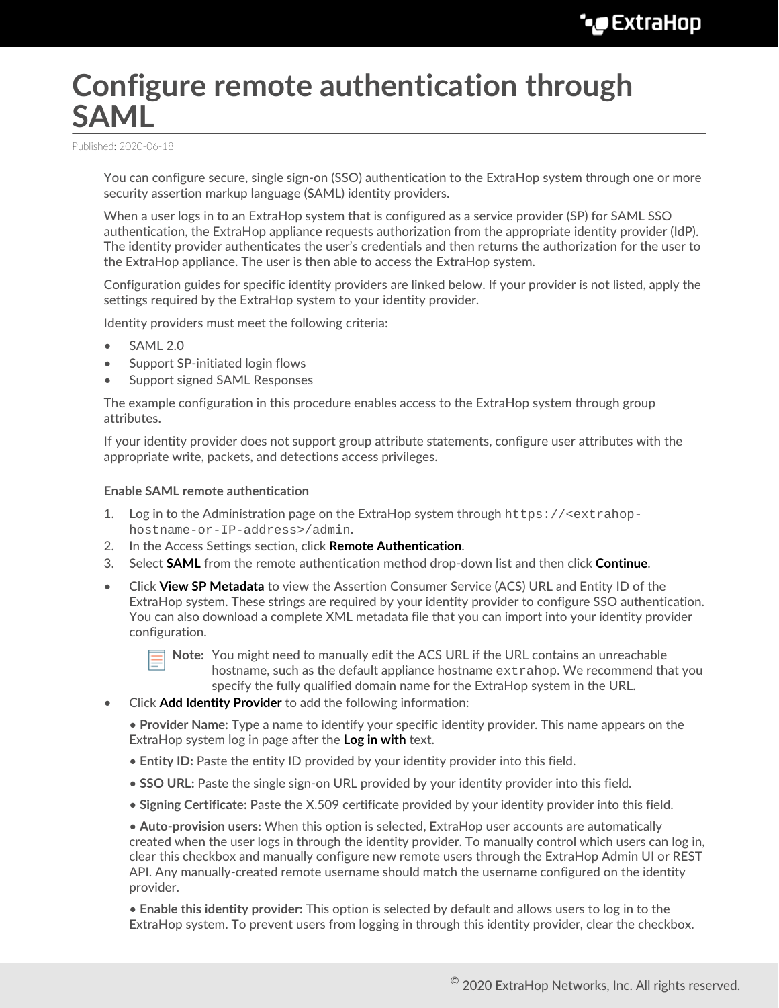# **Configure remote authentication through SAML**

Published: 2020-06-18

You can configure secure, single sign-on (SSO) authentication to the ExtraHop system through one or more security assertion markup language (SAML) identity providers.

When a user logs in to an ExtraHop system that is configured as a service provider (SP) for SAML SSO authentication, the ExtraHop appliance requests authorization from the appropriate identity provider (IdP). The identity provider authenticates the user's credentials and then returns the authorization for the user to the ExtraHop appliance. The user is then able to access the ExtraHop system.

Configuration guides for specific identity providers are linked below. If your provider is not listed, apply the settings required by the ExtraHop system to your identity provider.

Identity providers must meet the following criteria:

- SAML 2.0
- Support SP-initiated login flows
- Support signed SAML Responses

The example configuration in this procedure enables access to the ExtraHop system through group attributes.

If your identity provider does not support group attribute statements, configure user attributes with the appropriate write, packets, and detections access privileges.

## **Enable SAML remote authentication**

- 1. Log in to the Administration page on the ExtraHop system through  $https://$ hostname-or-IP-address>/admin.
- 2. In the Access Settings section, click **Remote Authentication**.
- 3. Select **SAML** from the remote authentication method drop-down list and then click **Continue**.
- Click **View SP Metadata** to view the Assertion Consumer Service (ACS) URL and Entity ID of the ExtraHop system. These strings are required by your identity provider to configure SSO authentication. You can also download a complete XML metadata file that you can import into your identity provider configuration.



**Note:** You might need to manually edit the ACS URL if the URL contains an unreachable hostname, such as the default appliance hostname extrahop. We recommend that you specify the fully qualified domain name for the ExtraHop system in the URL.

• Click **Add Identity Provider** to add the following information:

• **Provider Name:** Type a name to identify your specific identity provider. This name appears on the ExtraHop system log in page after the **Log in with** text.

- **Entity ID:** Paste the entity ID provided by your identity provider into this field.
- **SSO URL:** Paste the single sign-on URL provided by your identity provider into this field.
- **Signing Certificate:** Paste the X.509 certificate provided by your identity provider into this field.

• **Auto-provision users:** When this option is selected, ExtraHop user accounts are automatically created when the user logs in through the identity provider. To manually control which users can log in, clear this checkbox and manually configure new remote users through the ExtraHop Admin UI or REST API. Any manually-created remote username should match the username configured on the identity provider.

• **Enable this identity provider:** This option is selected by default and allows users to log in to the ExtraHop system. To prevent users from logging in through this identity provider, clear the checkbox.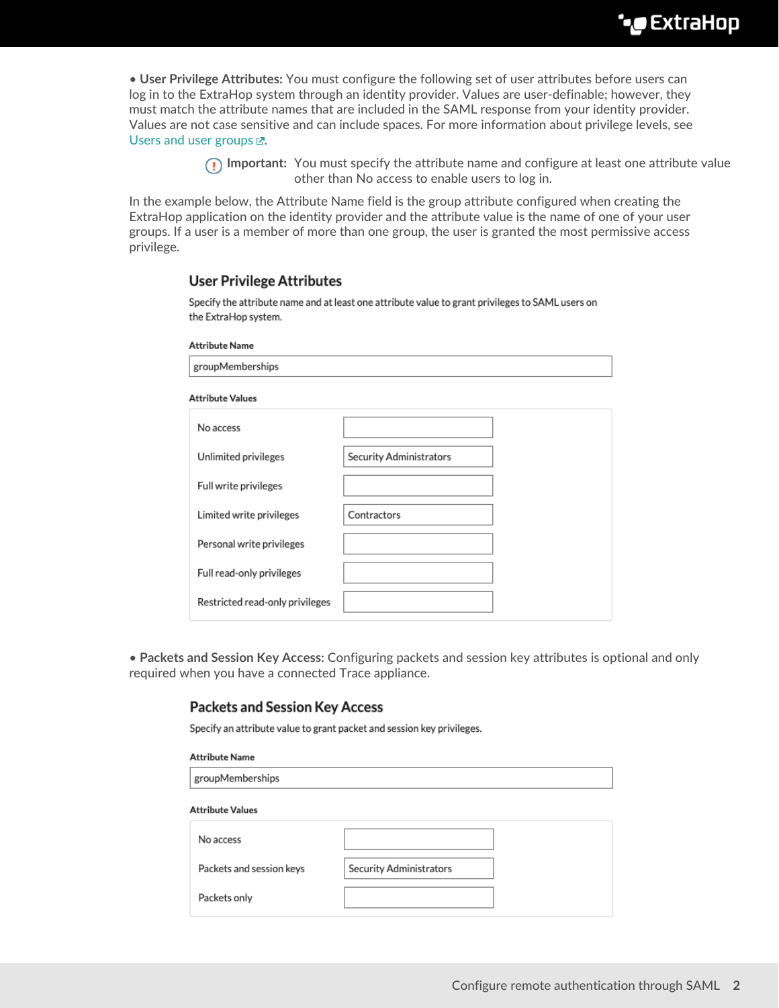• **User Privilege Attributes:** You must configure the following set of user attributes before users can log in to the ExtraHop system through an identity provider. Values are user-definable; however, they must match the attribute names that are included in the SAML response from your identity provider. Values are not case sensitive and can include spaces. For more information about privilege levels, see Users and user groups  $\mathbb{Z}$ .

> **Important:** You must specify the attribute name and configure at least one attribute value other than No access to enable users to log in.

In the example below, the Attribute Name field is the group attribute configured when creating the ExtraHop application on the identity provider and the attribute value is the name of one of your user groups. If a user is a member of more than one group, the user is granted the most permissive access privilege.

## **User Privilege Attributes**

Specify the attribute name and at least one attribute value to grant privileges to SAML users on the ExtraHop system.

#### **Attribute Name**

| groupMemberships                |                         |  |  |  |
|---------------------------------|-------------------------|--|--|--|
| <b>Attribute Values</b>         |                         |  |  |  |
| No access                       |                         |  |  |  |
| Unlimited privileges            | Security Administrators |  |  |  |
| Full write privileges           |                         |  |  |  |
| Limited write privileges        | Contractors             |  |  |  |
| Personal write privileges       |                         |  |  |  |
| Full read-only privileges       |                         |  |  |  |
| Restricted read-only privileges |                         |  |  |  |

• **Packets and Session Key Access:** Configuring packets and session key attributes is optional and only required when you have a connected Trace appliance.

# **Packets and Session Key Access**

Specify an attribute value to grant packet and session key privileges.

| <b>Attribute Name</b>    |                         |  |  |  |
|--------------------------|-------------------------|--|--|--|
| groupMemberships         |                         |  |  |  |
| <b>Attribute Values</b>  |                         |  |  |  |
| No access                |                         |  |  |  |
| Packets and session keys | Security Administrators |  |  |  |
| Packets only             |                         |  |  |  |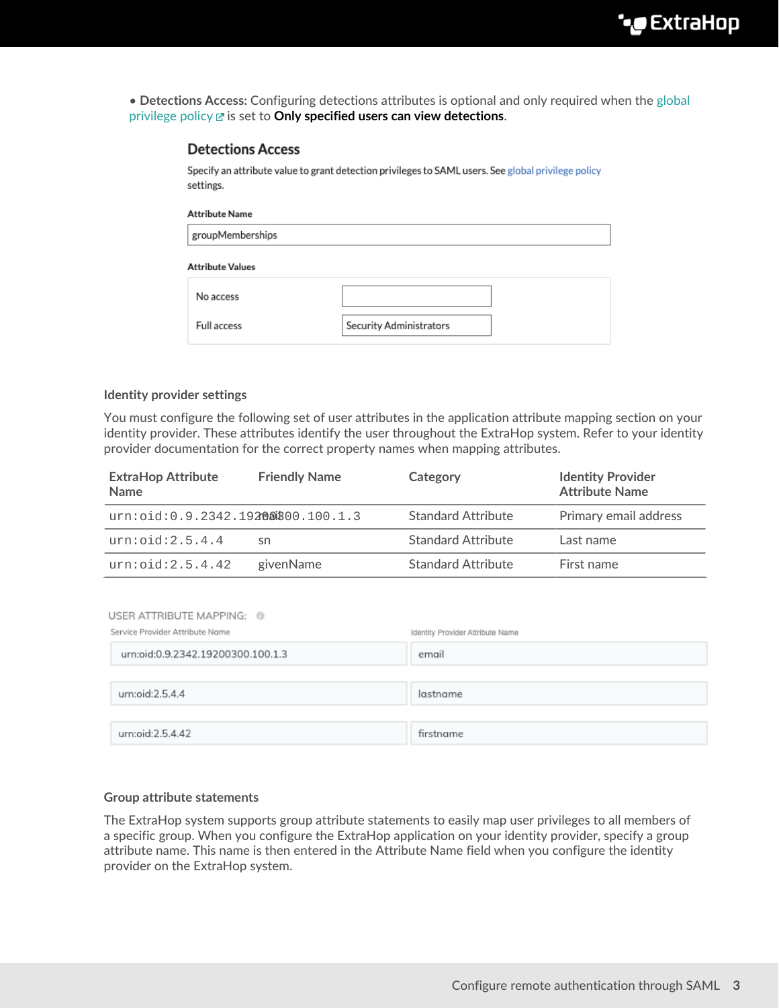• **Detections Access:** Configuring detections attributes is optional and only required when the [global](https://docs.extrahop.com/8.1/eh-admin-ui-guide/#global-policies) [privilege policy](https://docs.extrahop.com/8.1/eh-admin-ui-guide/#global-policies) is set to **Only specified users can view detections**.

## **Detections Access**

Specify an attribute value to grant detection privileges to SAML users. See global privilege policy settings.

#### **Attribute Name**

| groupMemberships |  |
|------------------|--|

#### **Attribute Values**

| No access   |                         |
|-------------|-------------------------|
| Full access | Security Administrators |

#### **Identity provider settings**

You must configure the following set of user attributes in the application attribute mapping section on your identity provider. These attributes identify the user throughout the ExtraHop system. Refer to your identity provider documentation for the correct property names when mapping attributes.

| <b>ExtraHop Attribute</b><br><b>Name</b> | <b>Friendly Name</b> | Category                  | <b>Identity Provider</b><br><b>Attribute Name</b> |
|------------------------------------------|----------------------|---------------------------|---------------------------------------------------|
| urn:oid: 0.9.2342.19200000000000001.3    |                      | <b>Standard Attribute</b> | Primary email address                             |
| urn:oid:2.5.4.4                          | sn                   | <b>Standard Attribute</b> | Last name                                         |
| urn:oid:2.5.4.42                         | givenName            | <b>Standard Attribute</b> | First name                                        |

| USER ATTRIBUTE MAPPING: 0<br>Service Provider Attribute Name | Identity Provider Attribute Name |
|--------------------------------------------------------------|----------------------------------|
| urn:oid:0.9.2342.19200300.100.1.3                            | email                            |
|                                                              |                                  |
| urn:oid:2.5.4.4                                              | lastname                         |
|                                                              |                                  |
| urn:oid:2.5.4.42                                             | firstname                        |

## **Group attribute statements**

The ExtraHop system supports group attribute statements to easily map user privileges to all members of a specific group. When you configure the ExtraHop application on your identity provider, specify a group attribute name. This name is then entered in the Attribute Name field when you configure the identity provider on the ExtraHop system.